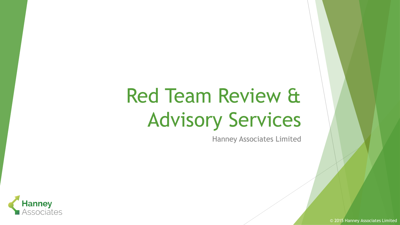# Red Team Review & Advisory Services

Hanney Associates Limited



© 2015 Hanney Associates Limited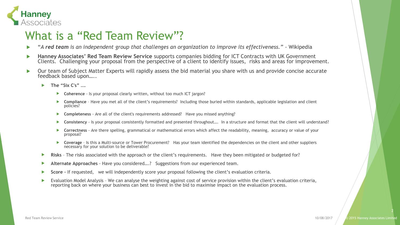

#### What is a "Red Team Review"?

- "*A red team is an independent group that challenges an organization to improve its effectiveness." -* Wikipedia
- **Hanney Associates' Red Team Review Service** supports companies bidding for ICT Contracts with UK Government Clients. Challenging your proposal from the perspective of a client to identify issues, risks and areas for improvement.
- Our team of Subject Matter Experts will rapidly assess the bid material you share with us and provide concise accurate feedback based upon…..
	- **The "Six C's" ….**
		- **Coherence** Is your proposal clearly written, without too much ICT jargon?
		- **Compliance** Have you met all of the client's requirements? Including those buried within standards, applicable legislation and client policies?
		- **Completeness** Are all of the client's requirements addressed? Have you missed anything?
		- **Consistency** Is your proposal consistently formatted and presented throughout…. In a structure and format that the client will understand?
		- **Correctness** Are there spelling, grammatical or mathematical errors which affect the readability, meaning, accuracy or value of your proposal?
		- **Coverage**  Is this a Multi-source or Tower Procurement? Has your team identified the dependencies on the client and other suppliers necessary for your solution to be deliverable?
	- **Risks** The risks associated with the approach or the client's requirements. Have they been mitigated or budgeted for?
	- **Alternate Approaches** Have you considered….? Suggestions from our experienced team.
	- **Score –** If requested, we will independently score your proposal following the client's evaluation criteria.
	- Evaluation Model Analysis We can analyse the weighting against cost of service provision within the client's evaluation criteria, reporting back on where your business can best to invest in the bid to maximise impact on the evaluation process.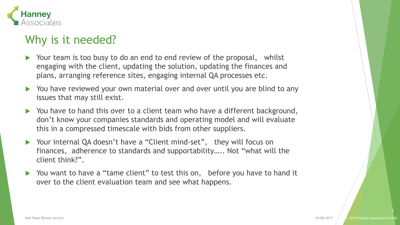

# Why is it needed?

- Your team is too busy to do an end to end review of the proposal, whilst engaging with the client, updating the solution, updating the finances and plans, arranging reference sites, engaging internal QA processes etc.
- ▶ You have reviewed your own material over and over until you are blind to any issues that may still exist.
- ▶ You have to hand this over to a client team who have a different background, don't know your companies standards and operating model and will evaluate this in a compressed timescale with bids from other suppliers.
- ▶ Your internal QA doesn't have a "Client mind-set", they will focus on finances, adherence to standards and supportability….. Not "what will the client think?".
- ▶ You want to have a "tame client" to test this on, before you have to hand it over to the client evaluation team and see what happens.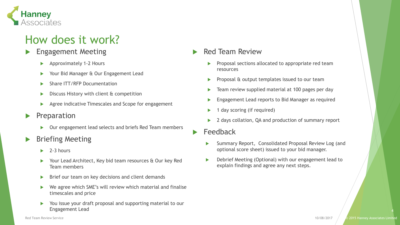

# How does it work?

#### Engagement Meeting

- Approximately 1-2 Hours
- ▶ Your Bid Manager & Our Engagement Lead
- Share ITT/RFP Documentation
- $\triangleright$  Discuss History with client  $\alpha$  competition
- Agree indicative Timescales and Scope for engagement
- Preparation
	- ▶ Our engagement lead selects and briefs Red Team members
- Briefing Meeting
	- $\blacktriangleright$  2-3 hours
	- ▶ Your Lead Architect, Key bid team resources & Our key Red Team members
	- $\triangleright$  Brief our team on key decisions and client demands
	- ▶ We agree which SME's will review which material and finalise timescales and price
	- ▶ You issue your draft proposal and supporting material to our Engagement Lead

#### Red Team Review

- Proposal sections allocated to appropriate red team resources
- Proposal & output templates issued to our team
- Team review supplied material at 100 pages per day
- Engagement Lead reports to Bid Manager as required
- 1 day scoring (if required)
- 2 days collation, QA and production of summary report
- Feedback
	- Summary Report, Consolidated Proposal Review Log (and optional score sheet) issued to your bid manager.
	- Debrief Meeting (Optional) with our engagement lead to explain findings and agree any next steps.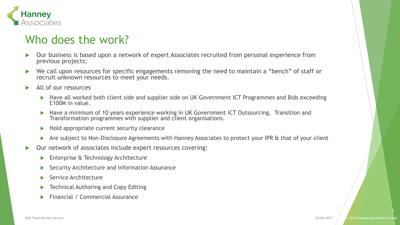

#### Who does the work?

- Our business is based upon a network of expert Associates recruited from personal experience from previous projects;
- ▶ We call upon resources for specific engagements removing the need to maintain a "bench" of staff or recruit unknown resources to meet your needs.
- All of our resources
	- ▶ Have all worked both client side and supplier side on UK Government ICT Programmes and Bids exceeding £100M in value.
	- ▶ Have a minimum of 10 years experience working in UK Government ICT Outsourcing, Transition and Transformation programmes with supplier and client organisations.
	- $\blacktriangleright$  Hold appropriate current security clearance
	- Are subject to Non-Disclosure Agreements with Hanney Associates to protect your IPR & that of your client
- Our network of associates include expert resources covering:
	- **Enterprise & Technology Architecture**
	- ▶ Security Architecture and Information Assurance
	- Service Architecture
	- **FREEDIAL Authoring and Copy Editing**
	- Financial / Commercial Assurance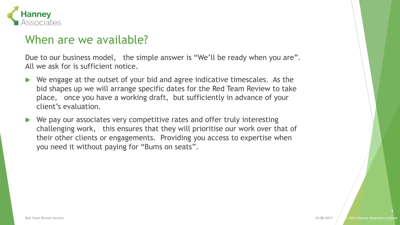

#### When are we available?

Due to our business model, the simple answer is "We'll be ready when you are". All we ask for is sufficient notice.

- ▶ We engage at the outset of your bid and agree indicative timescales. As the bid shapes up we will arrange specific dates for the Red Team Review to take place, once you have a working draft, but sufficiently in advance of your client's evaluation.
- We pay our associates very competitive rates and offer truly interesting challenging work, this ensures that they will prioritise our work over that of their other clients or engagements. Providing you access to expertise when you need it without paying for "Bums on seats".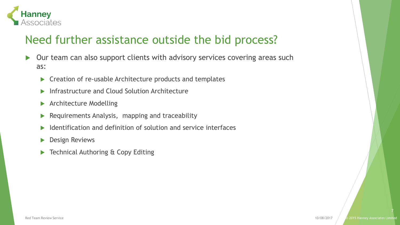

# Need further assistance outside the bid process?

- ▶ Our team can also support clients with advisory services covering areas such as:
	- ▶ Creation of re-usable Architecture products and templates
	- **Infrastructure and Cloud Solution Architecture**
	- **Architecture Modelling**
	- $\blacktriangleright$  Requirements Analysis, mapping and traceability
	- Identification and definition of solution and service interfaces
	- **Design Reviews**
	- Technical Authoring & Copy Editing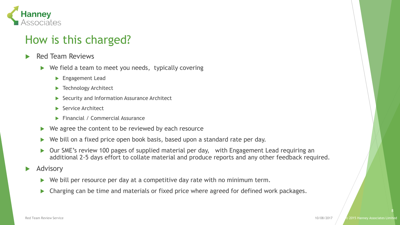

# How is this charged?

- Red Team Reviews
	- $\triangleright$  We field a team to meet you needs, typically covering
		- **Engagement Lead**
		- ▶ Technology Architect
		- Security and Information Assurance Architect
		- Service Architect
		- **Financial / Commercial Assurance**
	- $\triangleright$  We agree the content to be reviewed by each resource
	- ▶ We bill on a fixed price open book basis, based upon a standard rate per day.
	- ▶ Our SME's review 100 pages of supplied material per day, with Engagement Lead requiring an additional 2-5 days effort to collate material and produce reports and any other feedback required.
- Advisory
	- $\triangleright$  We bill per resource per day at a competitive day rate with no minimum term.
	- Charging can be time and materials or fixed price where agreed for defined work packages.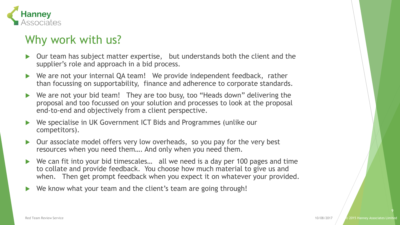

# Why work with us?

- Our team has subject matter expertise, but understands both the client and the supplier's role and approach in a bid process.
- ▶ We are not your internal QA team! We provide independent feedback, rather than focussing on supportability, finance and adherence to corporate standards.
- ▶ We are not your bid team! They are too busy, too "Heads down" delivering the proposal and too focussed on your solution and processes to look at the proposal end-to-end and objectively from a client perspective.
- We specialise in UK Government ICT Bids and Programmes (unlike our competitors).
- Our associate model offers very low overheads, so you pay for the very best resources when you need them…. And only when you need them.
- ▶ We can fit into your bid timescales... all we need is a day per 100 pages and time to collate and provide feedback. You choose how much material to give us and when. Then get prompt feedback when you expect it on whatever your provided.
- We know what your team and the client's team are going through!